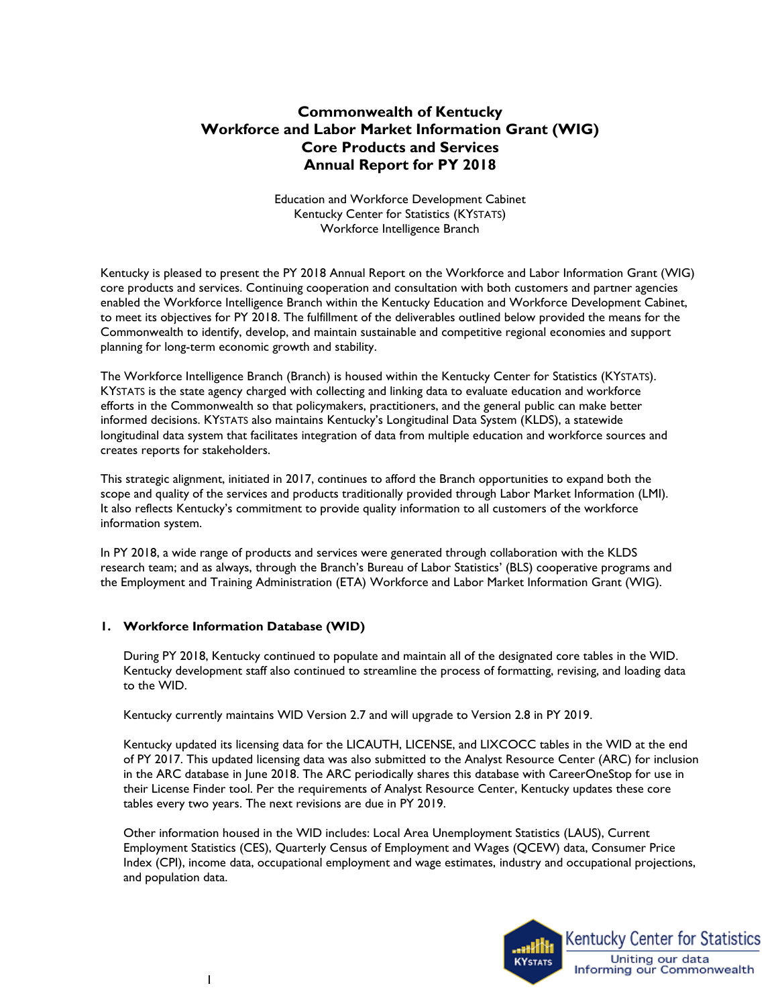# **Commonwealth of Kentucky Workforce and Labor Market Information Grant (WIG) Core Products and Services Annual Report for PY 2018**

 Kentucky Center for Statistics (KYSTATS) Workforce Intelligence Branch Education and Workforce Development Cabinet

 core products and services. Continuing cooperation and consultation with both customers and partner agencies to meet its objectives for PY 2018. The fulfillment of the deliverables outlined below provided the means for the Kentucky is pleased to present the PY 2018 Annual Report on the Workforce and Labor Information Grant (WIG) enabled the Workforce Intelligence Branch within the Kentucky Education and Workforce Development Cabinet, Commonwealth to identify, develop, and maintain sustainable and competitive regional economies and support planning for long-term economic growth and stability.

 The Workforce Intelligence Branch (Branch) is housed within the Kentucky Center for Statistics (KYSTATS). informed decisions. KYSTATS also maintains Kentucky's Longitudinal Data System (KLDS), a statewide KYSTATS is the state agency charged with collecting and linking data to evaluate education and workforce efforts in the Commonwealth so that policymakers, practitioners, and the general public can make better longitudinal data system that facilitates integration of data from multiple education and workforce sources and creates reports for stakeholders.

 It also reflects Kentucky's commitment to provide quality information to all customers of the workforce This strategic alignment, initiated in 2017, continues to afford the Branch opportunities to expand both the scope and quality of the services and products traditionally provided through Labor Market Information (LMI). information system.

 research team; and as always, through the Branch's Bureau of Labor Statistics' (BLS) cooperative programs and the Employment and Training Administration (ETA) Workforce and Labor Market Information Grant (WIG). In PY 2018, a wide range of products and services were generated through collaboration with the KLDS

### **1. Workforce Information Database (WID)**

 During PY 2018, Kentucky continued to populate and maintain all of the designated core tables in the WID. Kentucky development staff also continued to streamline the process of formatting, revising, and loading data to the WID.

Kentucky currently maintains WID Version 2.7 and will upgrade to Version 2.8 in PY 2019.

Kentucky updated its licensing data for the LICAUTH, LICENSE, and LIXCOCC tables in the WID at the end of PY 2017. This updated licensing data was also submitted to the Analyst Resource Center (ARC) for inclusion in the ARC database in June 2018. The ARC periodically shares this database with CareerOneStop for use in their License Finder tool. Per the requirements of Analyst Resource Center, Kentucky updates these core tables every two years. The next revisions are due in PY 2019.

 Other information housed in the WID includes: Local Area Unemployment Statistics (LAUS), Current Employment Statistics (CES), Quarterly Census of Employment and Wages (QCEW) data, Consumer Price Index (CPI), income data, occupational employment and wage estimates, industry and occupational projections, and population data.

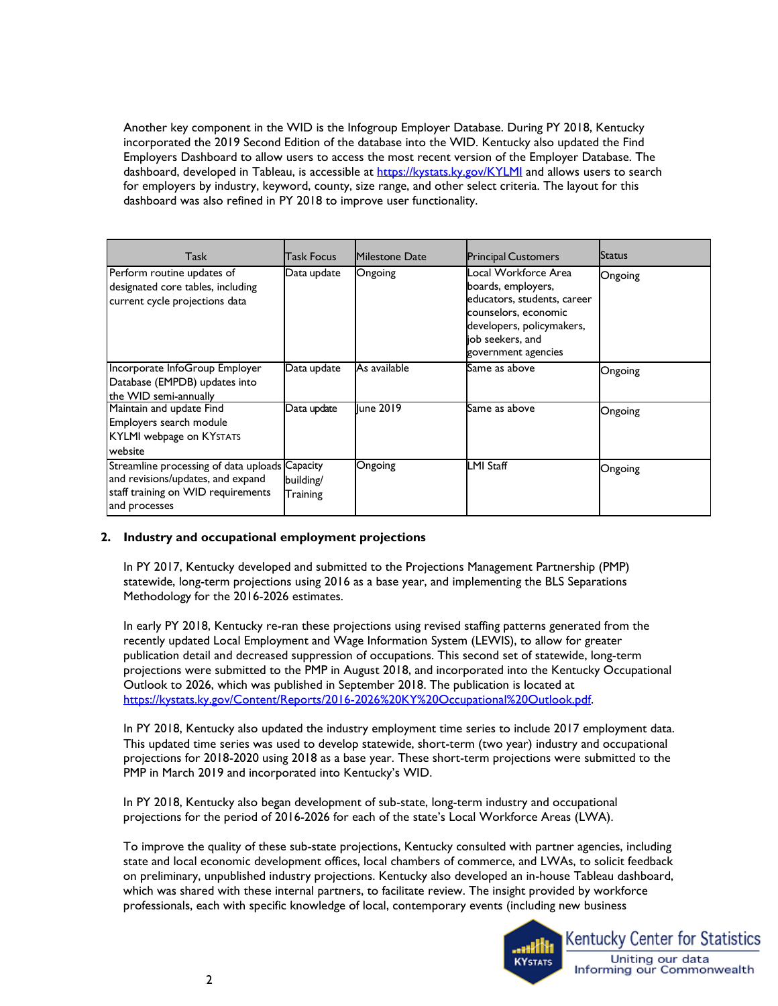Another key component in the WID is the Infogroup Employer Database. During PY 2018, Kentucky incorporated the 2019 Second Edition of the database into the WID. Kentucky also updated the Find Employers Dashboard to allow users to access the most recent version of the Employer Database. The dashboard, developed in Tableau, is accessible at <u>https://kystats.ky.gov/KYLMI</u> and allows users to search for employers by industry, keyword, county, size range, and other select criteria. The layout for this dashboard was also refined in PY 2018 to improve user functionality.

| <b>Task</b>                                                                                                                                | Task Focus            | Milestone Date | <b>Principal Customers</b>                                                                                                                                                | Status  |
|--------------------------------------------------------------------------------------------------------------------------------------------|-----------------------|----------------|---------------------------------------------------------------------------------------------------------------------------------------------------------------------------|---------|
| Perform routine updates of<br>designated core tables, including<br>current cycle projections data                                          | Data update           | Ongoing        | Local Workforce Area<br>boards, employers,<br>educators, students, career<br>counselors, economic<br>developers, policymakers,<br>job seekers, and<br>government agencies | Ongoing |
| Incorporate InfoGroup Employer<br>Database (EMPDB) updates into<br>the WID semi-annually                                                   | Data update           | As available   | Same as above                                                                                                                                                             | Ongoing |
| Maintain and update Find<br>Employers search module<br><b>KYLMI</b> webpage on KYSTATS<br>website                                          | Data update           | June 2019      | Same as above                                                                                                                                                             | Ongoing |
| Streamline processing of data uploads Capacity<br>and revisions/updates, and expand<br>staff training on WID requirements<br>and processes | building/<br>Training | Ongoing        | <b>LMI Staff</b>                                                                                                                                                          | Ongoing |

### **2. Industry and occupational employment projections**

In PY 2017, Kentucky developed and submitted to the Projections Management Partnership (PMP) statewide, long-term projections using 2016 as a base year, and implementing the BLS Separations Methodology for the 2016-2026 estimates.

 recently updated Local Employment and Wage Information System (LEWIS), to allow for greater projections were submitted to the PMP in August 2018, and incorporated into the Kentucky Occupational In early PY 2018, Kentucky re-ran these projections using revised staffing patterns generated from the publication detail and decreased suppression of occupations. This second set of statewide, long-term Outlook to 2026, which was published in September 2018. The publication is located at [https://kystats.ky.gov/Content/Reports/2016-2026%20KY%20Occupational%20Outlook.pdf.](https://kystats.ky.gov/Content/Reports/2016-2026%20KY%20Occupational%20Outlook.pdf)

 projections for 2018-2020 using 2018 as a base year. These short-term projections were submitted to the PMP in March 2019 and incorporated into Kentucky's WID. In PY 2018, Kentucky also updated the industry employment time series to include 2017 employment data. This updated time series was used to develop statewide, short-term (two year) industry and occupational

In PY 2018, Kentucky also began development of sub-state, long-term industry and occupational projections for the period of 2016-2026 for each of the state's Local Workforce Areas (LWA).

 To improve the quality of these sub-state projections, Kentucky consulted with partner agencies, including professionals, each with specific knowledge of local, contemporary events (including new business state and local economic development offices, local chambers of commerce, and LWAs, to solicit feedback on preliminary, unpublished industry projections. Kentucky also developed an in-house Tableau dashboard, which was shared with these internal partners, to facilitate review. The insight provided by workforce

•

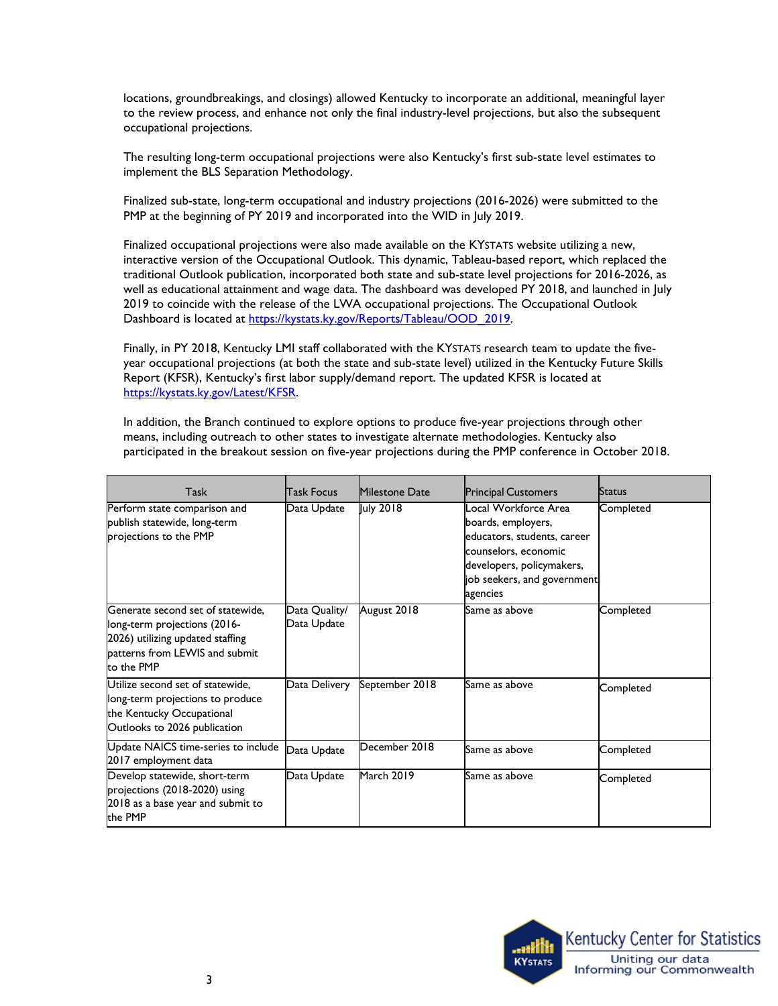locations, groundbreakings, and closings) allowed Kentucky to incorporate an additional, meaningful layer to the review process, and enhance not only the final industry-level projections, but also the subsequent occupational projections.

The resulting long-term occupational projections were also Kentucky's first sub-state level estimates to implement the BLS Separation Methodology.

Finalized sub-state, long-term occupational and industry projections (2016-2026) were submitted to the PMP at the beginning of PY 2019 and incorporated into the WID in July 2019.

 well as educational attainment and wage data. The dashboard was developed PY 2018, and launched in July Dashboard is located at https://kystats.ky.gov/Reports/Tableau/OOD\_2019. Finalized occupational projections were also made available on the KYSTATS website utilizing a new, interactive version of the Occupational Outlook. This dynamic, Tableau-based report, which replaced the traditional Outlook publication, incorporated both state and sub-state level projections for 2016-2026, as 2019 to coincide with the release of the LWA occupational projections. The Occupational Outlook

 Report (KFSR), Kentucky's first labor supply/demand report. The updated KFSR is located at Finally, in PY 2018, Kentucky LMI staff collaborated with the KYSTATS research team to update the fiveyear occupational projections (at both the state and sub-state level) utilized in the Kentucky Future Skills [https://kystats.ky.gov/Latest/KFSR.](https://kystats.ky.gov/Latest/KFSR)

 means, including outreach to other states to investigate alternate methodologies. Kentucky also In addition, the Branch continued to explore options to produce five-year projections through other participated in the breakout session on five-year projections during the PMP conference in October 2018.

| Task                                                                                                                                                  | <b>Task Focus</b>            | Milestone Date | <b>Principal Customers</b>                                                                                                                                                | <b>Status</b> |
|-------------------------------------------------------------------------------------------------------------------------------------------------------|------------------------------|----------------|---------------------------------------------------------------------------------------------------------------------------------------------------------------------------|---------------|
| Perform state comparison and<br>publish statewide, long-term<br>projections to the PMP                                                                | Data Update                  | July 2018      | ocal Workforce Area.<br>boards, employers,<br>educators, students, career<br>counselors, economic<br>developers, policymakers,<br>job seekers, and government<br>agencies | Completed     |
| Generate second set of statewide,<br>long-term projections (2016-<br>2026) utilizing updated staffing<br>patterns from LEWIS and submit<br>to the PMP | Data Quality/<br>Data Update | August 2018    | Same as above                                                                                                                                                             | Completed     |
| Utilize second set of statewide,<br>long-term projections to produce<br>the Kentucky Occupational<br>Outlooks to 2026 publication                     | Data Delivery                | September 2018 | Same as above                                                                                                                                                             | Completed     |
| Update NAICS time-series to include<br>2017 employment data                                                                                           | Data Update                  | December 2018  | Same as above                                                                                                                                                             | Completed     |
| Develop statewide, short-term<br>projections (2018-2020) using<br>2018 as a base year and submit to<br>the PMP                                        | Data Update                  | March 2019     | Same as above                                                                                                                                                             | Completed     |

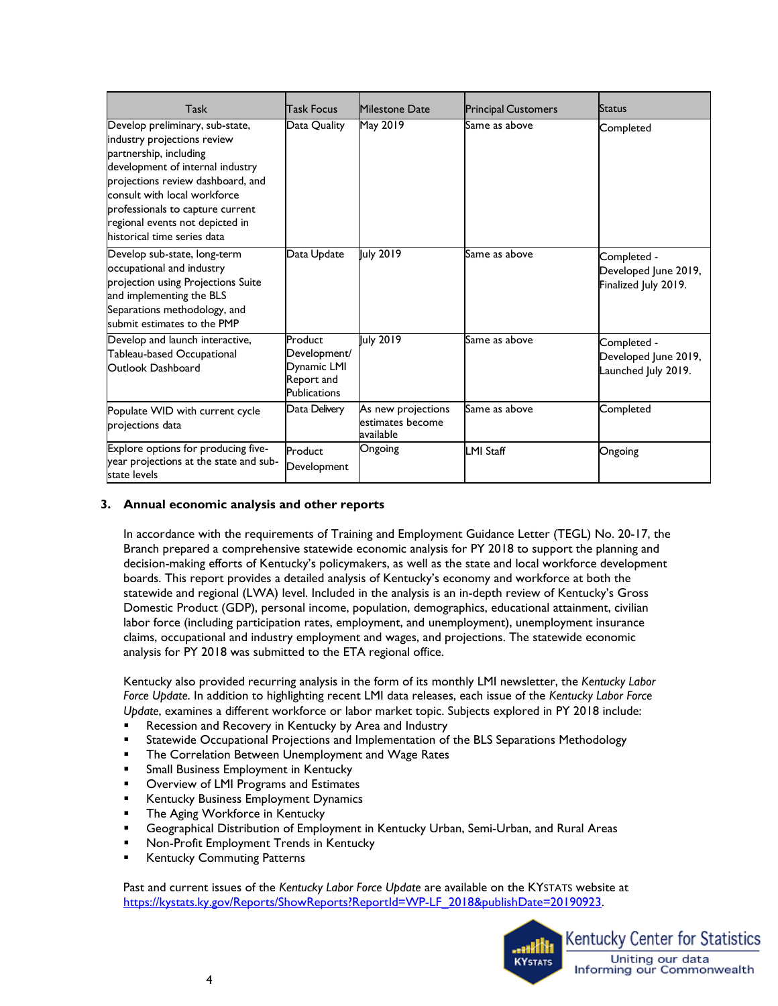| Task                                                                                                                                                                                                                                                                                                    | Task Focus                                                           | <b>Milestone Date</b>                               | <b>Principal Customers</b> | <b>Status</b>                                               |
|---------------------------------------------------------------------------------------------------------------------------------------------------------------------------------------------------------------------------------------------------------------------------------------------------------|----------------------------------------------------------------------|-----------------------------------------------------|----------------------------|-------------------------------------------------------------|
| Develop preliminary, sub-state,<br>industry projections review<br>partnership, including<br>development of internal industry<br>projections review dashboard, and<br>consult with local workforce<br>professionals to capture current<br>regional events not depicted in<br>historical time series data | Data Quality                                                         | May 2019                                            | Same as above              | Completed                                                   |
| Develop sub-state, long-term<br>occupational and industry<br>projection using Projections Suite<br>and implementing the BLS<br>Separations methodology, and<br>submit estimates to the PMP                                                                                                              | Data Update                                                          | July 2019                                           | Same as above              | Completed -<br>Developed June 2019,<br>Finalized July 2019. |
| Develop and launch interactive,<br>Tableau-based Occupational<br>Outlook Dashboard                                                                                                                                                                                                                      | Product<br>Development/<br>Dynamic LMI<br>Report and<br>Publications | July 2019                                           | Same as above              | Completed -<br>Developed June 2019,<br>Launched July 2019.  |
| Populate WID with current cycle<br>projections data                                                                                                                                                                                                                                                     | Data Delivery                                                        | As new projections<br>estimates become<br>available | Same as above              | Completed                                                   |
| Explore options for producing five-<br>year projections at the state and sub-<br>state levels                                                                                                                                                                                                           | Product<br>Development                                               | Ongoing                                             | <b>LMI Staff</b>           | Ongoing                                                     |

### **3. Annual economic analysis and other reports**

 In accordance with the requirements of Training and Employment Guidance Letter (TEGL) No. 20-17, the Branch prepared a comprehensive statewide economic analysis for PY 2018 to support the planning and decision-making efforts of Kentucky's policymakers, as well as the state and local workforce development boards. This report provides a detailed analysis of Kentucky's economy and workforce at both the statewide and regional (LWA) level. Included in the analysis is an in-depth review of Kentucky's Gross Domestic Product (GDP), personal income, population, demographics, educational attainment, civilian labor force (including participation rates, employment, and unemployment), unemployment insurance claims, occupational and industry employment and wages, and projections. The statewide economic analysis for PY 2018 was submitted to the ETA regional office.

Kentucky also provided recurring analysis in the form of its monthly LMI newsletter, the *Kentucky Labor Force Update*. In addition to highlighting recent LMI data releases, each issue of the *Kentucky Labor Force Update*, examines a different workforce or labor market topic. Subjects explored in PY 2018 include:

- Recession and Recovery in Kentucky by Area and Industry
- Statewide Occupational Projections and Implementation of the BLS Separations Methodology
- **The Correlation Between Unemployment and Wage Rates**
- Small Business Employment in Kentucky
- **Overview of LMI Programs and Estimates**
- Kentucky Business Employment Dynamics
- **The Aging Workforce in Kentucky**
- Geographical Distribution of Employment in Kentucky Urban, Semi-Urban, and Rural Areas
- Non-Profit Employment Trends in Kentucky
- Kentucky Commuting Patterns

 Past and current issues of the *Kentucky Labor Force Update* are available on the KYSTATS website at [https://kystats.ky.gov/Reports/ShowReports?ReportId=WP-LF\\_2018&publishDate=20190923.](https://kystats.ky.gov/Reports/ShowReports?ReportId=WP-LF_2018&publishDate=20190923) 

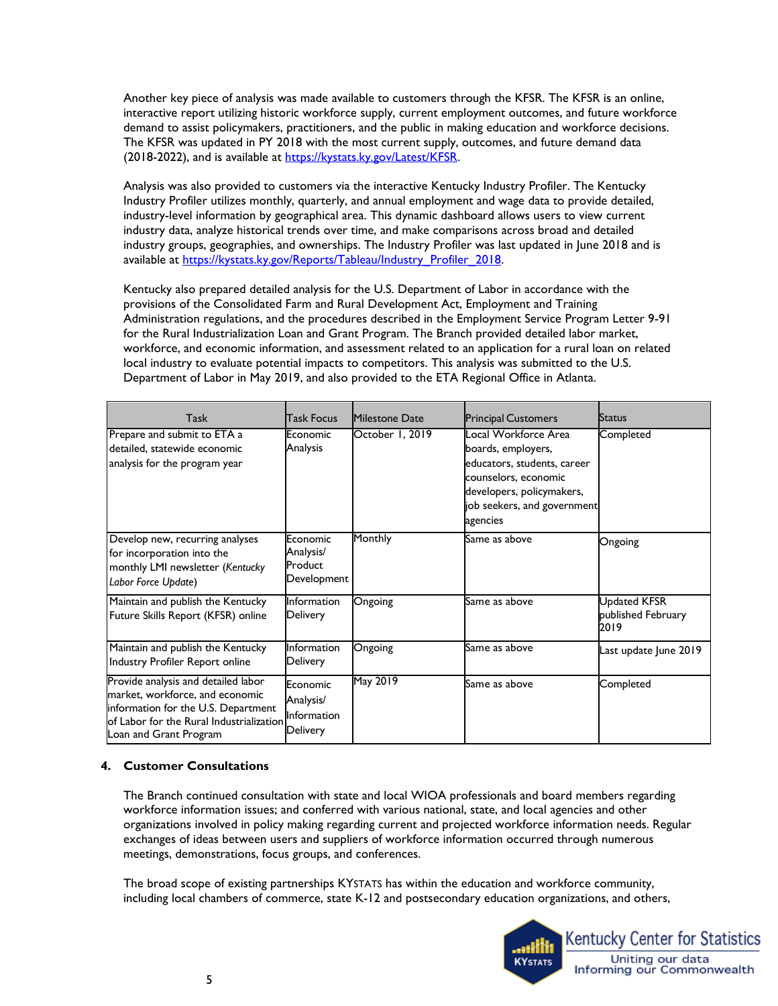(2018-2022), and is available at https://kystats.ky.gov/Latest/KFSR. Another key piece of analysis was made available to customers through the KFSR. The KFSR is an online, interactive report utilizing historic workforce supply, current employment outcomes, and future workforce demand to assist policymakers, practitioners, and the public in making education and workforce decisions. The KFSR was updated in PY 2018 with the most current supply, outcomes, and future demand data

 Industry Profiler utilizes monthly, quarterly, and annual employment and wage data to provide detailed, Analysis was also provided to customers via the interactive Kentucky Industry Profiler. The Kentucky industry-level information by geographical area. This dynamic dashboard allows users to view current industry data, analyze historical trends over time, and make comparisons across broad and detailed industry groups, geographies, and ownerships. The Industry Profiler was last updated in June 2018 and is available at [https://kystats.ky.gov/Reports/Tableau/Industry\\_Profiler\\_2018.](https://kystats.ky.gov/Reports/Tableau/Industry_Profiler_2018) 

 Kentucky also prepared detailed analysis for the U.S. Department of Labor in accordance with the local industry to evaluate potential impacts to competitors. This analysis was submitted to the U.S. provisions of the Consolidated Farm and Rural Development Act, Employment and Training Administration regulations, and the procedures described in the Employment Service Program Letter 9-91 for the Rural Industrialization Loan and Grant Program. The Branch provided detailed labor market, workforce, and economic information, and assessment related to an application for a rural loan on related Department of Labor in May 2019, and also provided to the ETA Regional Office in Atlanta.

| Task                                                                                                                                                                                | Task Focus                                              | <b>Milestone Date</b> | <b>Principal Customers</b>                                                                                                                                                | <b>Status</b>                                     |
|-------------------------------------------------------------------------------------------------------------------------------------------------------------------------------------|---------------------------------------------------------|-----------------------|---------------------------------------------------------------------------------------------------------------------------------------------------------------------------|---------------------------------------------------|
| Prepare and submit to ETA a<br>detailed, statewide economic<br>analysis for the program year                                                                                        | Economic<br>Analysis                                    | October 1, 2019       | Local Workforce Area<br>boards, employers,<br>educators, students, career<br>counselors, economic<br>developers, policymakers,<br>job seekers, and government<br>agencies | Completed                                         |
| Develop new, recurring analyses<br>for incorporation into the<br>monthly LMI newsletter (Kentucky<br>Labor Force Update)                                                            | Economic<br>Analysis/<br>Product<br>Development         | Monthly               | Same as above                                                                                                                                                             | Ongoing                                           |
| Maintain and publish the Kentucky<br>Future Skills Report (KFSR) online                                                                                                             | Information<br>Delivery                                 | Ongoing               | Same as above                                                                                                                                                             | <b>Updated KFSR</b><br>published February<br>2019 |
| Maintain and publish the Kentucky<br>Industry Profiler Report online                                                                                                                | Information<br>Delivery                                 | Ongoing               | Same as above                                                                                                                                                             | Last update June 2019                             |
| Provide analysis and detailed labor<br>market, workforce, and economic<br>information for the U.S. Department<br>of Labor for the Rural Industrialization<br>Loan and Grant Program | Economic<br>Analysis/<br>Information<br><b>Delivery</b> | May 2019              | Same as above                                                                                                                                                             | Completed                                         |

### **4. Customer Consultations**

 The Branch continued consultation with state and local WIOA professionals and board members regarding workforce information issues; and conferred with various national, state, and local agencies and other organizations involved in policy making regarding current and projected workforce information needs. Regular exchanges of ideas between users and suppliers of workforce information occurred through numerous meetings, demonstrations, focus groups, and conferences.

 The broad scope of existing partnerships KYSTATS has within the education and workforce community, including local chambers of commerce, state K-12 and postsecondary education organizations, and others,

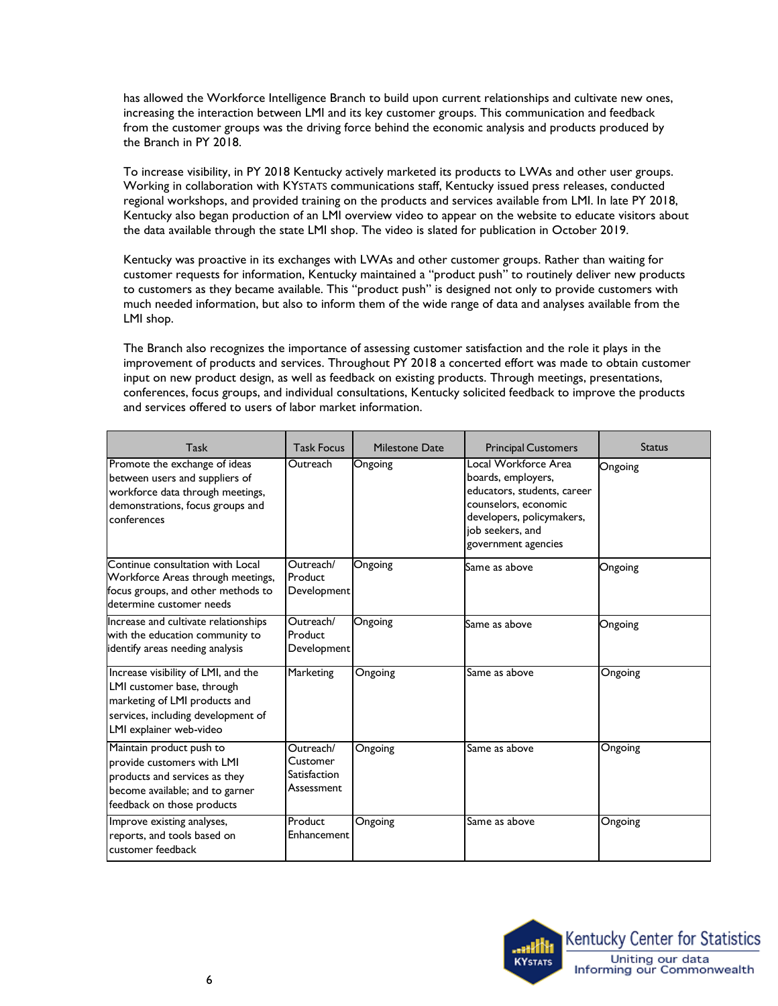the Branch in PY 2018. has allowed the Workforce Intelligence Branch to build upon current relationships and cultivate new ones, increasing the interaction between LMI and its key customer groups. This communication and feedback from the customer groups was the driving force behind the economic analysis and products produced by

the Branch in PY 2018.<br>To increase visibility, in PY 2018 Kentucky actively marketed its products to LWAs and other user groups. regional workshops, and provided training on the products and services available from LMI. In late PY 2018, the data available through the state LMI shop. The video is slated for publication in October 2019. Working in collaboration with KYSTATS communications staff, Kentucky issued press releases, conducted Kentucky also began production of an LMI overview video to appear on the website to educate visitors about

 customer requests for information, Kentucky maintained a "product push" to routinely deliver new products Kentucky was proactive in its exchanges with LWAs and other customer groups. Rather than waiting for to customers as they became available. This "product push" is designed not only to provide customers with much needed information, but also to inform them of the wide range of data and analyses available from the LMI shop.

 improvement of products and services. Throughout PY 2018 a concerted effort was made to obtain customer input on new product design, as well as feedback on existing products. Through meetings, presentations, The Branch also recognizes the importance of assessing customer satisfaction and the role it plays in the conferences, focus groups, and individual consultations, Kentucky solicited feedback to improve the products and services offered to users of labor market information.

| Task                                                                                                                                                                | <b>Task Focus</b>                                   | <b>Milestone Date</b> | <b>Principal Customers</b>                                                                                                                                                | <b>Status</b> |
|---------------------------------------------------------------------------------------------------------------------------------------------------------------------|-----------------------------------------------------|-----------------------|---------------------------------------------------------------------------------------------------------------------------------------------------------------------------|---------------|
| Promote the exchange of ideas<br>between users and suppliers of<br>workforce data through meetings,<br>demonstrations, focus groups and<br>conferences              | Outreach                                            | Ongoing               | Local Workforce Area<br>boards, employers,<br>educators, students, career<br>counselors, economic<br>developers, policymakers,<br>job seekers, and<br>government agencies | Ongoing       |
| Continue consultation with Local<br>Workforce Areas through meetings,<br>focus groups, and other methods to<br>determine customer needs                             | Outreach/<br>Product<br>Development                 | Ongoing               | Same as above                                                                                                                                                             | Ongoing       |
| Increase and cultivate relationships<br>with the education community to<br>identify areas needing analysis                                                          | Outreach/<br>Product<br>Development                 | Ongoing               | Same as above                                                                                                                                                             | Ongoing       |
| Increase visibility of LMI, and the<br>LMI customer base, through<br>marketing of LMI products and<br>services, including development of<br>LMI explainer web-video | Marketing                                           | Ongoing               | Same as above                                                                                                                                                             | Ongoing       |
| Maintain product push to<br>provide customers with LMI<br>products and services as they<br>become available; and to garner<br>feedback on those products            | Outreach/<br>Customer<br>Satisfaction<br>Assessment | Ongoing               | Same as above                                                                                                                                                             | Ongoing       |
| Improve existing analyses,<br>reports, and tools based on<br>customer feedback                                                                                      | Product<br>Enhancement                              | Ongoing               | Same as above                                                                                                                                                             | Ongoing       |

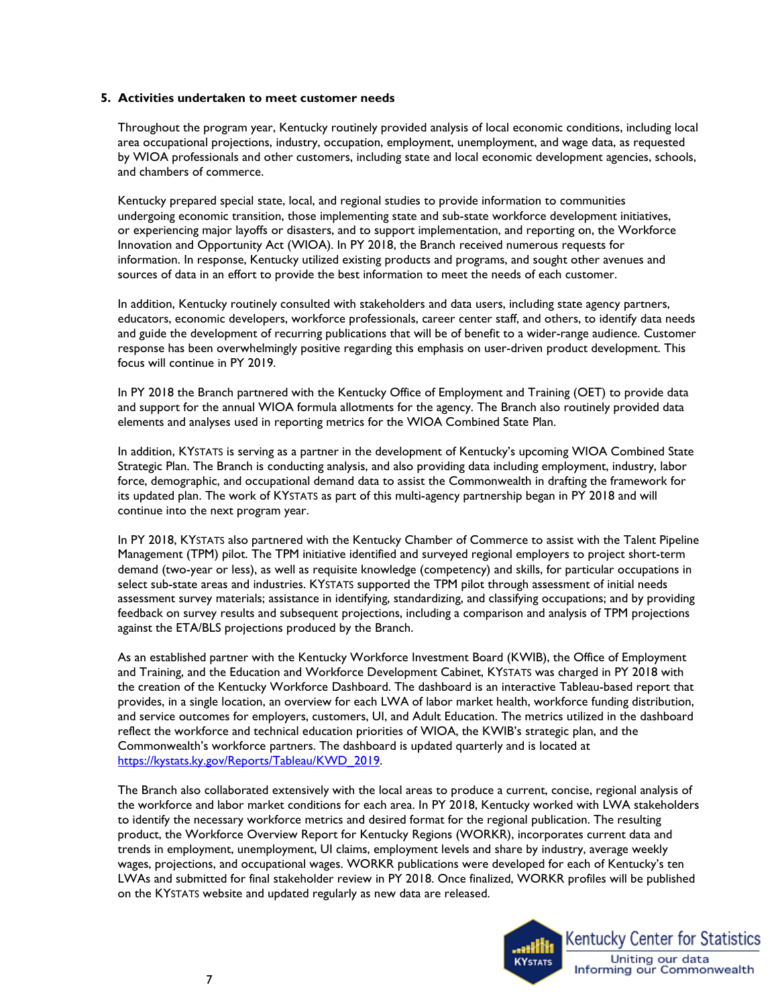#### **5. Activities undertaken to meet customer needs**

 Throughout the program year, Kentucky routinely provided analysis of local economic conditions, including local area occupational projections, industry, occupation, employment, unemployment, and wage data, as requested by WIOA professionals and other customers, including state and local economic development agencies, schools, and chambers of commerce.

 Kentucky prepared special state, local, and regional studies to provide information to communities undergoing economic transition, those implementing state and sub-state workforce development initiatives, or experiencing major layoffs or disasters, and to support implementation, and reporting on, the Workforce Innovation and Opportunity Act (WIOA). In PY 2018, the Branch received numerous requests for information. In response, Kentucky utilized existing products and programs, and sought other avenues and sources of data in an effort to provide the best information to meet the needs of each customer.

 educators, economic developers, workforce professionals, career center staff, and others, to identify data needs In addition, Kentucky routinely consulted with stakeholders and data users, including state agency partners, and guide the development of recurring publications that will be of benefit to a wider-range audience. Customer response has been overwhelmingly positive regarding this emphasis on user-driven product development. This focus will continue in PY 2019.

 In PY 2018 the Branch partnered with the Kentucky Office of Employment and Training (OET) to provide data and support for the annual WIOA formula allotments for the agency. The Branch also routinely provided data elements and analyses used in reporting metrics for the WIOA Combined State Plan.

 Strategic Plan. The Branch is conducting analysis, and also providing data including employment, industry, labor In addition, KYSTATS is serving as a partner in the development of Kentucky's upcoming WIOA Combined State force, demographic, and occupational demand data to assist the Commonwealth in drafting the framework for its updated plan. The work of KYSTATS as part of this multi-agency partnership began in PY 2018 and will continue into the next program year.

In PY 2018, KYSTATS also partnered with the Kentucky Chamber of Commerce to assist with the Talent Pipeline Management (TPM) pilot. The TPM initiative identified and surveyed regional employers to project short-term demand (two-year or less), as well as requisite knowledge (competency) and skills, for particular occupations in select sub-state areas and industries. KYSTATS supported the TPM pilot through assessment of initial needs assessment survey materials; assistance in identifying, standardizing, and classifying occupations; and by providing feedback on survey results and subsequent projections, including a comparison and analysis of TPM projections against the ETA/BLS projections produced by the Branch.

 Commonwealth's workforce partners. The dashboard is updated quarterly and is located at As an established partner with the Kentucky Workforce Investment Board (KWIB), the Office of Employment and Training, and the Education and Workforce Development Cabinet, KYSTATS was charged in PY 2018 with the creation of the Kentucky Workforce Dashboard. The dashboard is an interactive Tableau-based report that provides, in a single location, an overview for each LWA of labor market health, workforce funding distribution, and service outcomes for employers, customers, UI, and Adult Education. The metrics utilized in the dashboard reflect the workforce and technical education priorities of WIOA, the KWIB's strategic plan, and the [https://kystats.ky.gov/Reports/Tableau/KWD\\_2019.](https://kystats.ky.gov/Reports/Tableau/KWD_2019)

 to identify the necessary workforce metrics and desired format for the regional publication. The resulting wages, projections, and occupational wages. WORKR publications were developed for each of Kentucky's ten LWAs and submitted for final stakeholder review in PY 2018. Once finalized, WORKR profiles will be published on the KYSTATS website and updated regularly as new data are released. The Branch also collaborated extensively with the local areas to produce a current, concise, regional analysis of the workforce and labor market conditions for each area. In PY 2018, Kentucky worked with LWA stakeholders product, the Workforce Overview Report for Kentucky Regions (WORKR), incorporates current data and trends in employment, unemployment, UI claims, employment levels and share by industry, average weekly

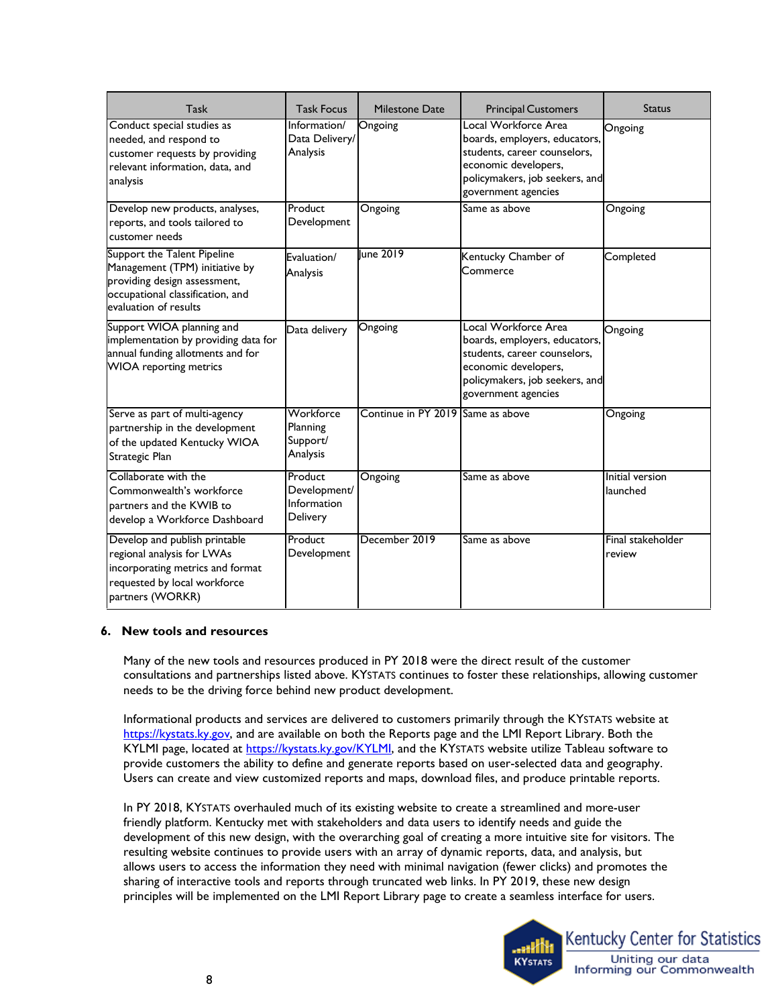| Task                                                                                                                                                       | <b>Task Focus</b>                                  | Milestone Date                    | <b>Principal Customers</b>                                                                                                                                             | <b>Status</b>                      |
|------------------------------------------------------------------------------------------------------------------------------------------------------------|----------------------------------------------------|-----------------------------------|------------------------------------------------------------------------------------------------------------------------------------------------------------------------|------------------------------------|
| Conduct special studies as<br>needed, and respond to<br>customer requests by providing<br>relevant information, data, and<br>analysis                      | Information/<br>Data Delivery/<br>Analysis         | Ongoing                           | Local Workforce Area<br>boards, employers, educators,<br>students, career counselors,<br>economic developers,<br>policymakers, job seekers, and<br>government agencies | Ongoing                            |
| Develop new products, analyses,<br>reports, and tools tailored to<br>customer needs                                                                        | Product<br>Development                             | Ongoing                           | Same as above                                                                                                                                                          | Ongoing                            |
| Support the Talent Pipeline<br>Management (TPM) initiative by<br>providing design assessment,<br>occupational classification, and<br>evaluation of results | Evaluation/<br>Analysis                            | lune 2019                         | Kentucky Chamber of<br>Commerce                                                                                                                                        | Completed                          |
| Support WIOA planning and<br>implementation by providing data for<br>annual funding allotments and for<br><b>WIOA</b> reporting metrics                    | Data delivery                                      | Ongoing                           | Local Workforce Area<br>boards, employers, educators,<br>students, career counselors,<br>economic developers,<br>policymakers, job seekers, and<br>government agencies | Ongoing                            |
| Serve as part of multi-agency<br>partnership in the development<br>of the updated Kentucky WIOA<br>Strategic Plan                                          | Workforce<br>Planning<br>Support/<br>Analysis      | Continue in PY 2019 Same as above |                                                                                                                                                                        | Ongoing                            |
| Collaborate with the<br>Commonwealth's workforce<br>partners and the KWIB to<br>develop a Workforce Dashboard                                              | Product<br>Development/<br>Information<br>Delivery | Ongoing                           | Same as above                                                                                                                                                          | <b>Initial version</b><br>launched |
| Develop and publish printable<br>regional analysis for LWAs<br>incorporating metrics and format<br>requested by local workforce<br>partners (WORKR)        | Product<br>Development                             | December 2019                     | Same as above                                                                                                                                                          | Final stakeholder<br>review        |

### **6. New tools and resources**

needs to be the driving force behind new product development. Many of the new tools and resources produced in PY 2018 were the direct result of the customer consultations and partnerships listed above. KYSTATS continues to foster these relationships, allowing customer

needs to be the driving force behind new product development.<br>Informational products and services are delivered to customers primarily through the KYSTATS website at [https://kystats.ky.gov,](https://kystats.ky.gov/) and are available on both the Reports page and the LMI Report Library. Both the KYLMI page, located at [https://kystats.ky.gov/KYLMI,](https://kystats.ky.gov/KYLMI) and the KYSTATS website utilize Tableau software to provide customers the ability to define and generate reports based on user-selected data and geography. Users can create and view customized reports and maps, download files, and produce printable reports.

 friendly platform. Kentucky met with stakeholders and data users to identify needs and guide the development of this new design, with the overarching goal of creating a more intuitive site for visitors. The resulting website continues to provide users with an array of dynamic reports, data, and analysis, but In PY 2018, KYSTATS overhauled much of its existing website to create a streamlined and more-user allows users to access the information they need with minimal navigation (fewer clicks) and promotes the sharing of interactive tools and reports through truncated web links. In PY 2019, these new design principles will be implemented on the LMI Report Library page to create a seamless interface for users.

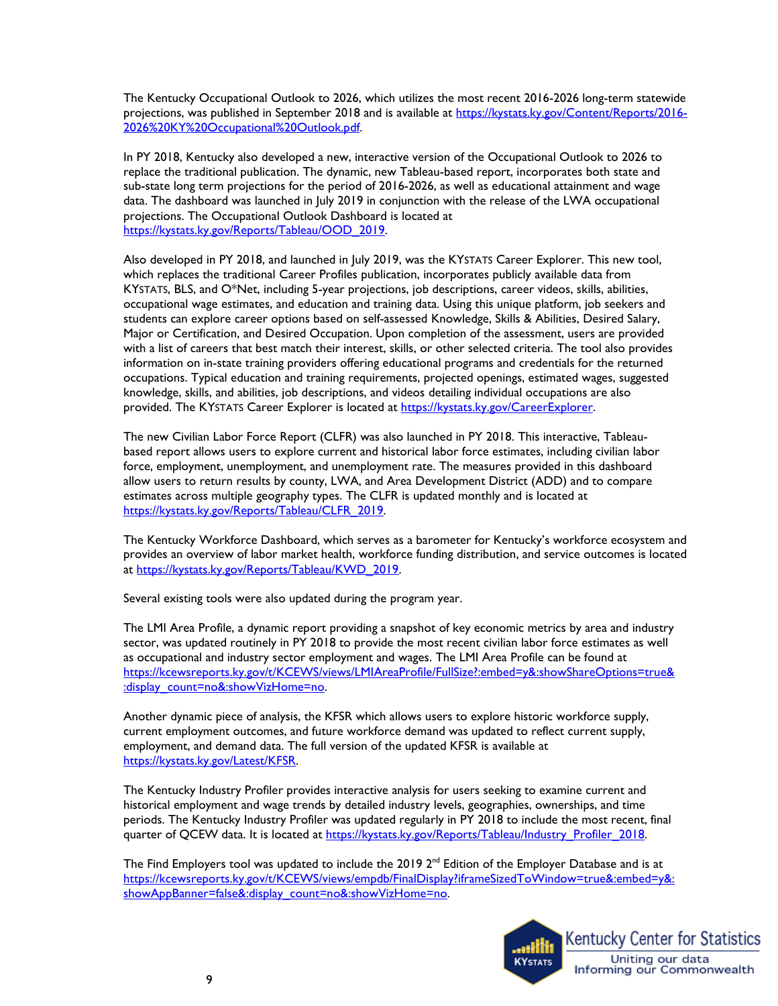The Kentucky Occupational Outlook to 2026, which utilizes the most recent 2016-2026 long-term statewide projections, was published in September 2018 and is available at [https://kystats.ky.gov/Content/Reports/2016-](https://kystats.ky.gov/Content/Reports/2016-2026%20KY%20Occupational%20Outlook.pdf) [2026%20KY%20Occupational%20Outlook.pdf.](https://kystats.ky.gov/Content/Reports/2016-2026%20KY%20Occupational%20Outlook.pdf)

 projections. The Occupational Outlook Dashboard is located at In PY 2018, Kentucky also developed a new, interactive version of the Occupational Outlook to 2026 to replace the traditional publication. The dynamic, new Tableau-based report, incorporates both state and sub-state long term projections for the period of 2016-2026, as well as educational attainment and wage data. The dashboard was launched in July 2019 in conjunction with the release of the LWA occupational [https://kystats.ky.gov/Reports/Tableau/OOD\\_2019.](https://kystats.ky.gov/Reports/Tableau/OOD_2019)

 Also developed in PY 2018, and launched in July 2019, was the KYSTATS Career Explorer. This new tool, which replaces the traditional Career Profiles publication, incorporates publicly available data from Major or Certification, and Desired Occupation. Upon completion of the assessment, users are provided knowledge, skills, and abilities, job descriptions, and videos detailing individual occupations are also KYSTATS, BLS, and O\*Net, including 5-year projections, job descriptions, career videos, skills, abilities, occupational wage estimates, and education and training data. Using this unique platform, job seekers and students can explore career options based on self-assessed Knowledge, Skills & Abilities, Desired Salary, with a list of careers that best match their interest, skills, or other selected criteria. The tool also provides information on in-state training providers offering educational programs and credentials for the returned occupations. Typical education and training requirements, projected openings, estimated wages, suggested provided. The KYSTATS Career Explorer is located at https://kystats.ky.gov/CareerExplorer.

 The new Civilian Labor Force Report (CLFR) was also launched in PY 2018. This interactive, Tableau- force, employment, unemployment, and unemployment rate. The measures provided in this dashboard estimates across multiple geography types. The CLFR is updated monthly and is located at based report allows users to explore current and historical labor force estimates, including civilian labor allow users to return results by county, LWA, and Area Development District (ADD) and to compare [https://kystats.ky.gov/Reports/Tableau/CLFR\\_2019.](https://kystats.ky.gov/Reports/Tableau/CLFR_2019) 

The Kentucky Workforce Dashboard, which serves as a barometer for Kentucky's workforce ecosystem and provides an overview of labor market health, workforce funding distribution, and service outcomes is located at [https://kystats.ky.gov/Reports/Tableau/KWD\\_2019.](https://kystats.ky.gov/Reports/Tableau/KWD_2019)

Several existing tools were also updated during the program year.

 The LMI Area Profile, a dynamic report providing a snapshot of key economic metrics by area and industry sector, was updated routinely in PY 2018 to provide the most recent civilian labor force estimates as well as occupational and industry sector employment and wages. The LMI Area Profile can be found at [https://kcewsreports.ky.gov/t/KCEWS/views/LMIAreaProfile/FullSize?:embed=y&:showShareOptions=true&](https://kcewsreports.ky.gov/t/KCEWS/views/LMIAreaProfile/FullSize?:embed=y&:showShareOptions=true&:display_count=no&:showVizHome=no)  :display\_count=no&:showVizHome=no.

 current employment outcomes, and future workforce demand was updated to reflect current supply, employment, and demand data. The full version of the updated KFSR is available at Another dynamic piece of analysis, the KFSR which allows users to explore historic workforce supply, [https://kystats.ky.gov/Latest/KFSR.](https://kystats.ky.gov/Latest/KFSR)

 periods. The Kentucky Industry Profiler was updated regularly in PY 2018 to include the most recent, final The Kentucky Industry Profiler provides interactive analysis for users seeking to examine current and historical employment and wage trends by detailed industry levels, geographies, ownerships, and time quarter of QCEW data. It is located at https://kystats.ky.gov/Reports/Tableau/Industry\_Profiler\_2018.

The Find Employers tool was updated to include the 2019 2<sup>nd</sup> Edition of the Employer Database and is at https://kcewsreports.ky.gov/t/KCEWS/views/empdb/FinalDisplay?iframeSizedToWindow=true&:embed=y&: [showAppBanner=false&:display\\_count=no&:showVizHome=no.](https://kcewsreports.ky.gov/t/KCEWS/views/empdb/FinalDisplay?iframeSizedToWindow=true&:embed=y&:showAppBanner=false&:display_count=no&:showVizHome=no)

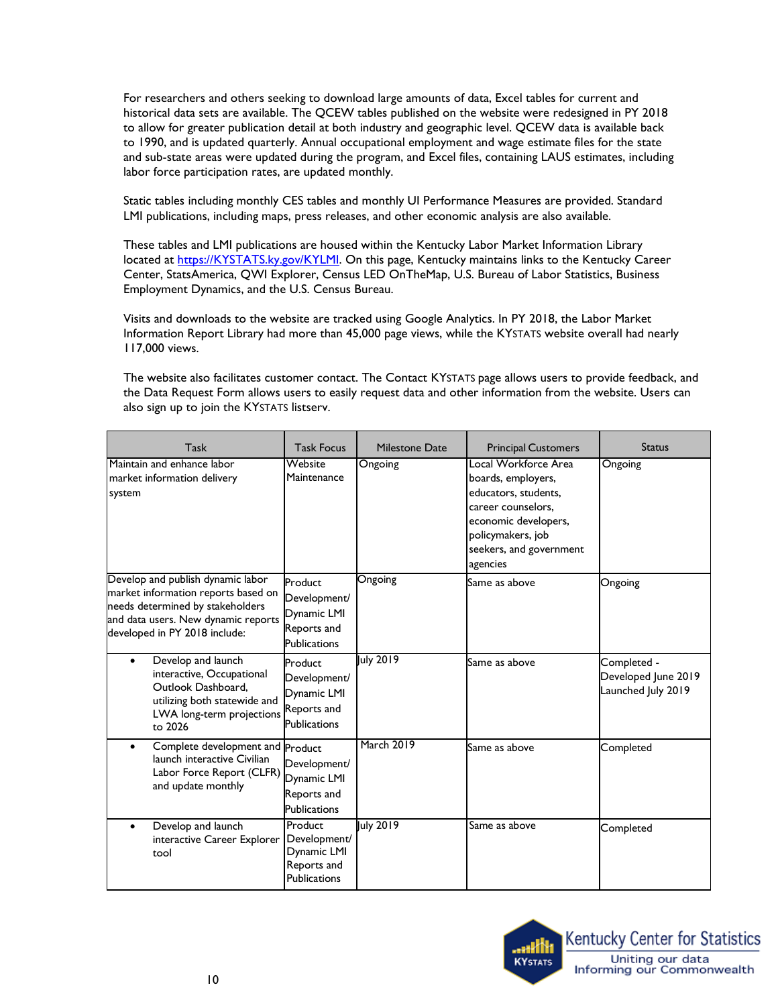For researchers and others seeking to download large amounts of data, Excel tables for current and historical data sets are available. The QCEW tables published on the website were redesigned in PY 2018 to allow for greater publication detail at both industry and geographic level. QCEW data is available back to 1990, and is updated quarterly. Annual occupational employment and wage estimate files for the state and sub-state areas were updated during the program, and Excel files, containing LAUS estimates, including labor force participation rates, are updated monthly.

 LMI publications, including maps, press releases, and other economic analysis are also available. Static tables including monthly CES tables and monthly UI Performance Measures are provided. Standard

These tables and LMI publications are housed within the Kentucky Labor Market Information Library located at [https://KYSTATS.ky.gov/KYLMI.](https://kcews.ky.gov/KYLMI) On this page, Kentucky maintains links to the Kentucky Career Center, StatsAmerica, QWI Explorer, Census LED OnTheMap, U.S. Bureau of Labor Statistics, Business Employment Dynamics, and the U.S. Census Bureau.

 Visits and downloads to the website are tracked using Google Analytics. In PY 2018, the Labor Market Information Report Library had more than 45,000 page views, while the KYSTATS website overall had nearly 117,000 views.

 The website also facilitates customer contact. The Contact KYSTATS page allows users to provide feedback, and also sign up to join the KYSTATS listserv. the Data Request Form allows users to easily request data and other information from the website. Users can

| Task                                                                                                                                                                                 | <b>Task Focus</b>                                                            | Milestone Date    | <b>Principal Customers</b>                                                                                                                                                   | <b>Status</b>                                            |
|--------------------------------------------------------------------------------------------------------------------------------------------------------------------------------------|------------------------------------------------------------------------------|-------------------|------------------------------------------------------------------------------------------------------------------------------------------------------------------------------|----------------------------------------------------------|
| Maintain and enhance labor<br>market information delivery<br>system                                                                                                                  | $\overline{\mathsf{W}}$ ebsite<br>Maintenance                                | Ongoing           | Local Workforce Area<br>boards, employers,<br>educators, students,<br>career counselors.<br>economic developers,<br>policymakers, job<br>seekers, and government<br>agencies | Ongoing                                                  |
| Develop and publish dynamic labor<br>market information reports based on<br>needs determined by stakeholders<br>and data users. New dynamic reports<br>developed in PY 2018 include: | Product<br>Development/<br>Dynamic LMI<br>Reports and<br><b>Publications</b> | Ongoing           | Same as above                                                                                                                                                                | Ongoing                                                  |
| Develop and launch<br>$\bullet$<br>interactive, Occupational<br>Outlook Dashboard.<br>utilizing both statewide and<br>LWA long-term projections Reports and<br>to 2026               | Product<br>Development/<br>Dynamic LMI<br><b>Publications</b>                | July 2019         | Same as above                                                                                                                                                                | Completed -<br>Developed June 2019<br>Launched July 2019 |
| Complete development and Product<br>$\bullet$<br>launch interactive Civilian<br>Labor Force Report (CLFR) Dynamic LMI<br>and update monthly                                          | Development/<br>Reports and<br><b>Publications</b>                           | <b>March 2019</b> | Same as above                                                                                                                                                                | Completed                                                |
| Develop and launch<br>$\bullet$<br>interactive Career Explorer   Development/<br>tool                                                                                                | Product<br>Dynamic LMI<br>Reports and<br><b>Publications</b>                 | July 2019         | Same as above                                                                                                                                                                | Completed                                                |



•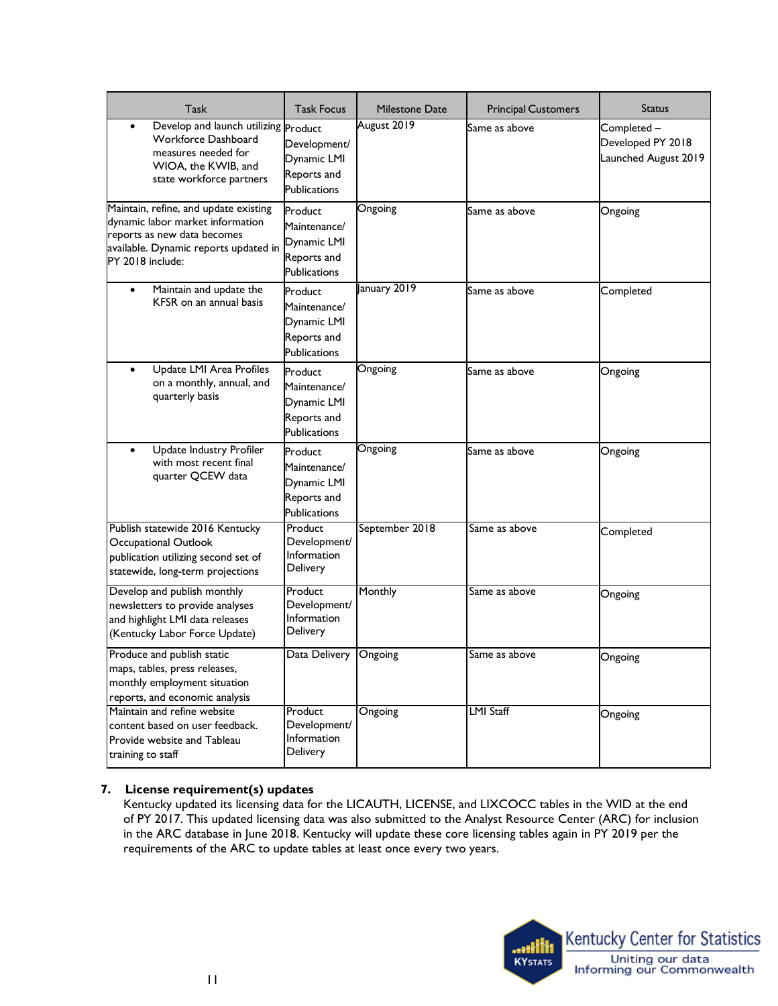| <b>Task</b>                                                                                                                                                           | <b>Task Focus</b>                                                            | Milestone Date | <b>Principal Customers</b> | <b>Status</b>                                           |
|-----------------------------------------------------------------------------------------------------------------------------------------------------------------------|------------------------------------------------------------------------------|----------------|----------------------------|---------------------------------------------------------|
| Develop and launch utilizing Product<br>$\bullet$<br>Workforce Dashboard<br>measures needed for<br>WIOA, the KWIB, and<br>state workforce partners                    | Development/<br>Dynamic LMI<br>Reports and<br><b>Publications</b>            | August 2019    | Same as above              | Completed-<br>Developed PY 2018<br>Launched August 2019 |
| Maintain, refine, and update existing<br>dynamic labor market information<br>reports as new data becomes<br>available. Dynamic reports updated in<br>PY 2018 include: | Product<br>Maintenance/<br>Dynamic LMI<br>Reports and<br><b>Publications</b> | Ongoing        | Same as above              | Ongoing                                                 |
| Maintain and update the<br>KFSR on an annual basis                                                                                                                    | Product<br>Maintenance/<br>Dynamic LMI<br>Reports and<br><b>Publications</b> | January 2019   | Same as above              | Completed                                               |
| Update LMI Area Profiles<br>$\bullet$<br>on a monthly, annual, and<br>quarterly basis                                                                                 | Product<br>Maintenance/<br>Dynamic LMI<br>Reports and<br><b>Publications</b> | Ongoing        | Same as above              | Ongoing                                                 |
| Update Industry Profiler<br>with most recent final<br>quarter QCEW data                                                                                               | Product<br>Maintenance/<br>Dynamic LMI<br>Reports and<br><b>Publications</b> | Ongoing        | Same as above              | Ongoing                                                 |
| Publish statewide 2016 Kentucky<br>Occupational Outlook<br>publication utilizing second set of<br>statewide, long-term projections                                    | Product<br>Development/<br>Information<br>Delivery                           | September 2018 | Same as above              | Completed                                               |
| Develop and publish monthly<br>newsletters to provide analyses<br>and highlight LMI data releases<br>(Kentucky Labor Force Update)                                    | Product<br>Development/<br>Information<br>Delivery                           | Monthly        | Same as above              | Ongoing                                                 |
| Produce and publish static<br>maps, tables, press releases,<br>monthly employment situation<br>reports, and economic analysis                                         | Data Delivery                                                                | Ongoing        | Same as above              | Ongoing                                                 |
| Maintain and refine website<br>content based on user feedback.<br>Provide website and Tableau<br>training to staff                                                    | Product<br>Development/<br>Information<br>Delivery                           | Ongoing        | <b>LMI Staff</b>           | Ongoing                                                 |

# **7. License requirement(s) updates**

requirements of the ARC to update tables at least once every two years. Kentucky updated its licensing data for the LICAUTH, LICENSE, and LIXCOCC tables in the WID at the end of PY 2017. This updated licensing data was also submitted to the Analyst Resource Center (ARC) for inclusion in the ARC database in June 2018. Kentucky will update these core licensing tables again in PY 2019 per the requirements of the ARC to update tables at least once every two years.<br> $11$ 

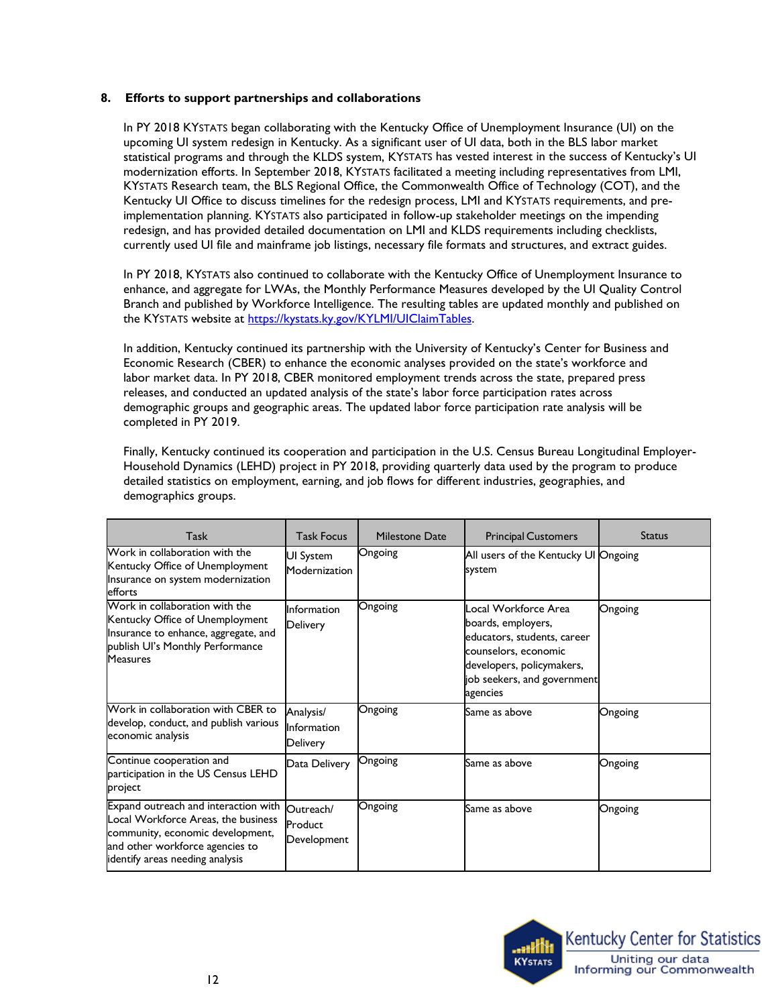### **8. Efforts to support partnerships and collaborations**

 redesign, and has provided detailed documentation on LMI and KLDS requirements including checklists, currently used UI file and mainframe job listings, necessary file formats and structures, and extract guides. In PY 2018 KYSTATS began collaborating with the Kentucky Office of Unemployment Insurance (UI) on the upcoming UI system redesign in Kentucky. As a significant user of UI data, both in the BLS labor market statistical programs and through the KLDS system, KYSTATS has vested interest in the success of Kentucky's UI modernization efforts. In September 2018, KYSTATS facilitated a meeting including representatives from LMI, KYSTATS Research team, the BLS Regional Office, the Commonwealth Office of Technology (COT), and the Kentucky UI Office to discuss timelines for the redesign process, LMI and KYSTATS requirements, and preimplementation planning. KYSTATS also participated in follow-up stakeholder meetings on the impending

In PY 2018, KYSTATS also continued to collaborate with the Kentucky Office of Unemployment Insurance to enhance, and aggregate for LWAs, the Monthly Performance Measures developed by the UI Quality Control Branch and published by Workforce Intelligence. The resulting tables are updated monthly and published on the KYSTATS website at [https://kystats.ky.gov/KYLMI/UIClaimTables.](https://kystats.ky.gov/KYLMI/UIClaimTables) 

 In addition, Kentucky continued its partnership with the University of Kentucky's Center for Business and releases, and conducted an updated analysis of the state's labor force participation rates across demographic groups and geographic areas. The updated labor force participation rate analysis will be Economic Research (CBER) to enhance the economic analyses provided on the state's workforce and labor market data. In PY 2018, CBER monitored employment trends across the state, prepared press completed in PY 2019.

Finally, Kentucky continued its cooperation and participation in the U.S. Census Bureau Longitudinal Employer-Household Dynamics (LEHD) project in PY 2018, providing quarterly data used by the program to produce detailed statistics on employment, earning, and job flows for different industries, geographies, and demographics groups.

| Task                                                                                                                                                                                  | <b>Task Focus</b>                           | <b>Milestone Date</b> | <b>Principal Customers</b>                                                                                                                                                | <b>Status</b> |
|---------------------------------------------------------------------------------------------------------------------------------------------------------------------------------------|---------------------------------------------|-----------------------|---------------------------------------------------------------------------------------------------------------------------------------------------------------------------|---------------|
| Work in collaboration with the<br>Kentucky Office of Unemployment<br>Insurance on system modernization<br>efforts                                                                     | UI System<br>Modernization                  | Ongoing               | All users of the Kentucky UI Ongoing<br>system                                                                                                                            |               |
| Work in collaboration with the<br>Kentucky Office of Unemployment<br>Insurance to enhance, aggregate, and<br>publish Ul's Monthly Performance<br><b>Measures</b>                      | Information<br>Delivery                     | Ongoing               | Local Workforce Area<br>boards, employers,<br>educators, students, career<br>counselors, economic<br>developers, policymakers,<br>job seekers, and government<br>agencies | Ongoing       |
| Work in collaboration with CBER to<br>develop, conduct, and publish various<br>economic analysis                                                                                      | Analysis/<br>Information<br><b>Delivery</b> | Ongoing               | Same as above                                                                                                                                                             | Ongoing       |
| Continue cooperation and<br>participation in the US Census LEHD<br>project                                                                                                            | Data Delivery                               | Ongoing               | Same as above                                                                                                                                                             | Ongoing       |
| Expand outreach and interaction with<br>Local Workforce Areas, the business<br>community, economic development,<br>and other workforce agencies to<br>identify areas needing analysis | Outreach/<br>Product<br>Development         | Ongoing               | Same as above                                                                                                                                                             | Ongoing       |

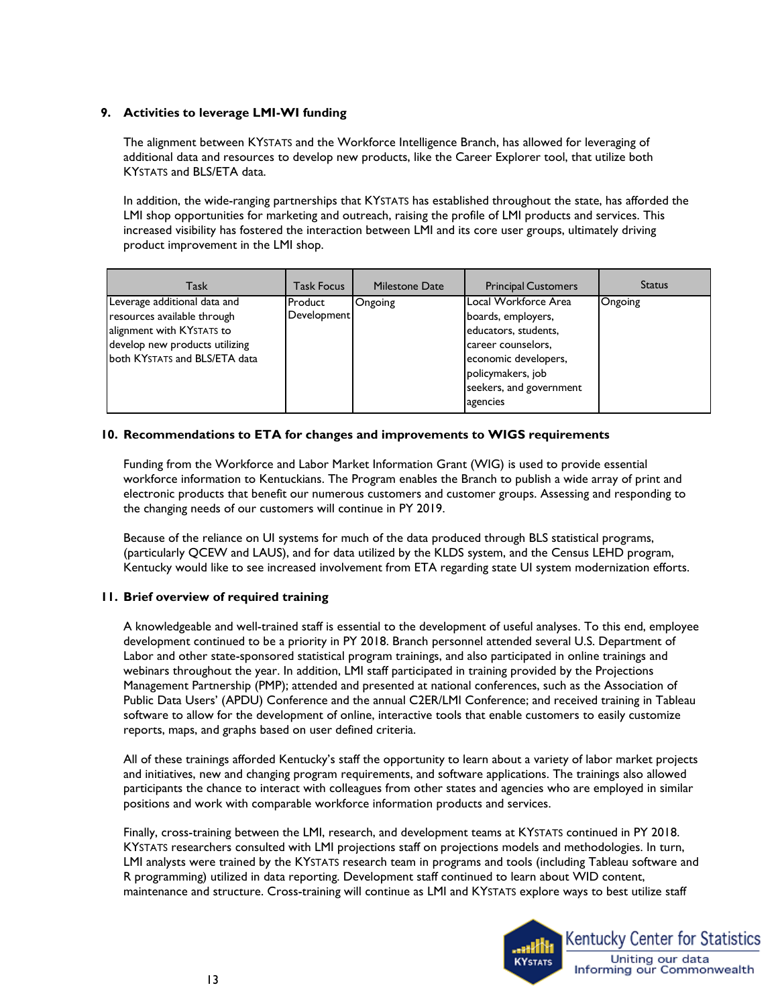### **9. Activities to leverage LMI-WI funding**

 additional data and resources to develop new products, like the Career Explorer tool, that utilize both The alignment between KYSTATS and the Workforce Intelligence Branch, has allowed for leveraging of KYSTATS and BLS/ETA data.

 increased visibility has fostered the interaction between LMI and its core user groups, ultimately driving In addition, the wide-ranging partnerships that KYSTATS has established throughout the state, has afforded the LMI shop opportunities for marketing and outreach, raising the profile of LMI products and services. This product improvement in the LMI shop.

| <b>Task</b>                                                                                                                                                 | <b>Task Focus</b>      | <b>Milestone Date</b> | <b>Principal Customers</b>                                                                                                                                                   | <b>Status</b> |
|-------------------------------------------------------------------------------------------------------------------------------------------------------------|------------------------|-----------------------|------------------------------------------------------------------------------------------------------------------------------------------------------------------------------|---------------|
| Leverage additional data and<br>resources available through<br>alignment with KYSTATS to<br>develop new products utilizing<br>both KYSTATS and BLS/ETA data | Product<br>Development | Ongoing               | Local Workforce Area<br>boards, employers,<br>educators, students,<br>career counselors,<br>economic developers,<br>policymakers, job<br>seekers, and government<br>agencies | Ongoing       |

### **10. Recommendations to ETA for changes and improvements to WIGS requirements**

Funding from the Workforce and Labor Market Information Grant (WIG) is used to provide essential workforce information to Kentuckians. The Program enables the Branch to publish a wide array of print and electronic products that benefit our numerous customers and customer groups. Assessing and responding to the changing needs of our customers will continue in PY 2019.

 (particularly QCEW and LAUS), and for data utilized by the KLDS system, and the Census LEHD program, Because of the reliance on UI systems for much of the data produced through BLS statistical programs, Kentucky would like to see increased involvement from ETA regarding state UI system modernization efforts.

## **11. Brief overview of required training**

 A knowledgeable and well-trained staff is essential to the development of useful analyses. To this end, employee Labor and other state-sponsored statistical program trainings, and also participated in online trainings and Public Data Users' (APDU) Conference and the annual C2ER/LMI Conference; and received training in Tableau development continued to be a priority in PY 2018. Branch personnel attended several U.S. Department of webinars throughout the year. In addition, LMI staff participated in training provided by the Projections Management Partnership (PMP); attended and presented at national conferences, such as the Association of software to allow for the development of online, interactive tools that enable customers to easily customize reports, maps, and graphs based on user defined criteria.

 and initiatives, new and changing program requirements, and software applications. The trainings also allowed All of these trainings afforded Kentucky's staff the opportunity to learn about a variety of labor market projects participants the chance to interact with colleagues from other states and agencies who are employed in similar positions and work with comparable workforce information products and services.

 LMI analysts were trained by the KYSTATS research team in programs and tools (including Tableau software and maintenance and structure. Cross-training will continue as LMI and KYSTATS explore ways to best utilize staff Finally, cross-training between the LMI, research, and development teams at KYSTATS continued in PY 2018. KYSTATS researchers consulted with LMI projections staff on projections models and methodologies. In turn, R programming) utilized in data reporting. Development staff continued to learn about WID content,

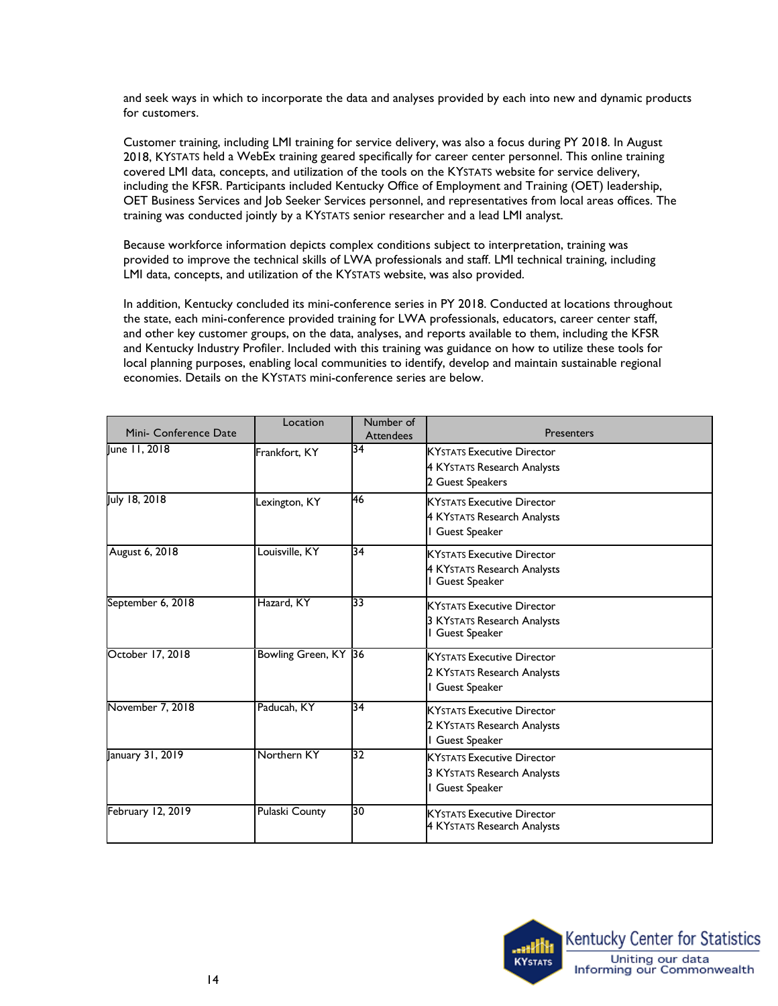and seek ways in which to incorporate the data and analyses provided by each into new and dynamic products for customers.

 Customer training, including LMI training for service delivery, was also a focus during PY 2018. In August 2018, KYSTATS held a WebEx training geared specifically for career center personnel. This online training including the KFSR. Participants included Kentucky Office of Employment and Training (OET) leadership, covered LMI data, concepts, and utilization of the tools on the KYSTATS website for service delivery, OET Business Services and Job Seeker Services personnel, and representatives from local areas offices. The training was conducted jointly by a KYSTATS senior researcher and a lead LMI analyst.

Because workforce information depicts complex conditions subject to interpretation, training was provided to improve the technical skills of LWA professionals and staff. LMI technical training, including LMI data, concepts, and utilization of the KYSTATS website, was also provided.

 In addition, Kentucky concluded its mini-conference series in PY 2018. Conducted at locations throughout the state, each mini-conference provided training for LWA professionals, educators, career center staff, and other key customer groups, on the data, analyses, and reports available to them, including the KFSR and Kentucky Industry Profiler. Included with this training was guidance on how to utilize these tools for local planning purposes, enabling local communities to identify, develop and maintain sustainable regional economies. Details on the KYSTATS mini-conference series are below.

| Mini- Conference Date | Location             | Number of<br><b>Attendees</b> | <b>Presenters</b>                                                                        |
|-----------------------|----------------------|-------------------------------|------------------------------------------------------------------------------------------|
| lune 11, 2018         | Frankfort, KY        | 34                            | <b>KYSTATS Executive Director</b><br>4 KYSTATS Research Analysts<br>2 Guest Speakers     |
| July 18, 2018         | Lexington, KY        | 46                            | <b>KYSTATS Executive Director</b><br>4 KYSTATS Research Analysts<br>Guest Speaker        |
| August 6, 2018        | Louisville, KY       | 34                            | <b>KYSTATS Executive Director</b><br>4 KYstats Research Analysts<br><b>Guest Speaker</b> |
| September 6, 2018     | Hazard, KY           | 33                            | <b>KYSTATS Executive Director</b><br>3 KYSTATS Research Analysts<br><b>Guest Speaker</b> |
| October 17, 2018      | Bowling Green, KY 36 |                               | <b>KYSTATS Executive Director</b><br>2 KYSTATS Research Analysts<br>Guest Speaker        |
| November 7, 2018      | Paducah, KY          | 34                            | <b>KYSTATS Executive Director</b><br>2 KYstats Research Analysts<br>Guest Speaker        |
| January 31, 2019      | Northern KY          | 32                            | <b>KYSTATS Executive Director</b><br>3 KYSTATS Research Analysts<br>Guest Speaker        |
| February 12, 2019     | Pulaski County       | 30                            | <b>KYSTATS Executive Director</b><br>4 KYSTATS Research Analysts                         |